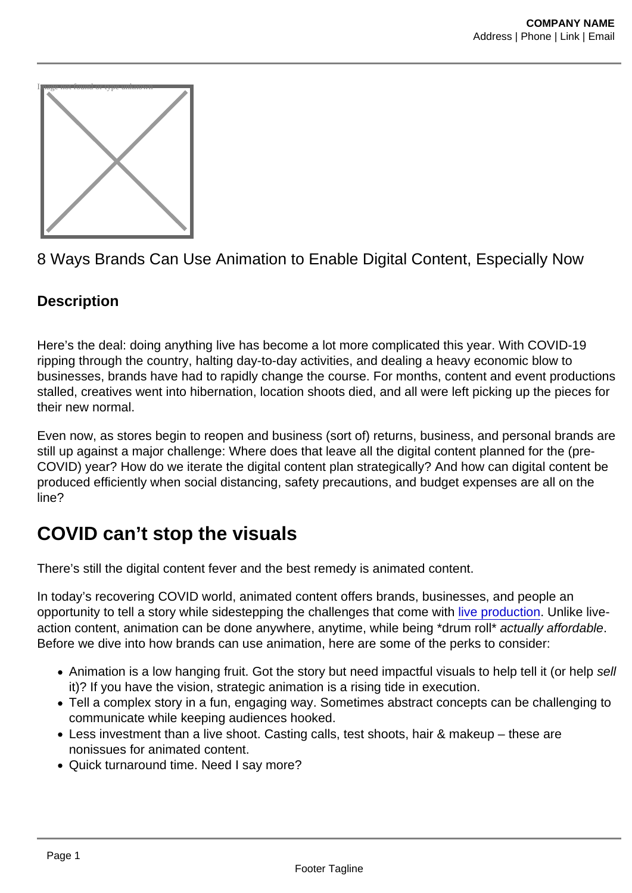

8 Ways Brands Can Use Animation to Enable Digital Content, Especially Now

#### **Description**

Here's the deal: doing anything live has become a lot more complicated this year. With COVID-19 ripping through the country, halting day-to-day activities, and dealing a heavy economic blow to businesses, brands have had to rapidly change the course. For months, content and event productions stalled, creatives went into hibernation, location shoots died, and all were left picking up the pieces for their new normal.

Even now, as stores begin to reopen and business (sort of) returns, business, and personal brands are still up against a major challenge: Where does that leave all the digital content planned for the (pre-COVID) year? How do we iterate the digital content plan strategically? And how can digital content be produced efficiently when social distancing, safety precautions, and budget expenses are all on the line?

### COVID can't stop the visuals

There's still the digital content fever and the best remedy is animated content.

In today's recovering COVID world, animated content offers brands, businesses, and people an opportunity to tell a story while sidestepping the challenges that come with [live production](https://foodfightstudios.com/the-lab/). Unlike liveaction content, animation can be done anywhere, anytime, while being \*drum roll\* actually affordable. Before we dive into how brands can use animation, here are some of the perks to consider:

- Animation is a low hanging fruit. Got the story but need impactful visuals to help tell it (or help sell it)? If you have the vision, strategic animation is a rising tide in execution.
- Tell a complex story in a fun, engaging way. Sometimes abstract concepts can be challenging to communicate while keeping audiences hooked.
- Less investment than a live shoot. Casting calls, test shoots, hair & makeup these are nonissues for animated content.
- Quick turnaround time. Need I say more?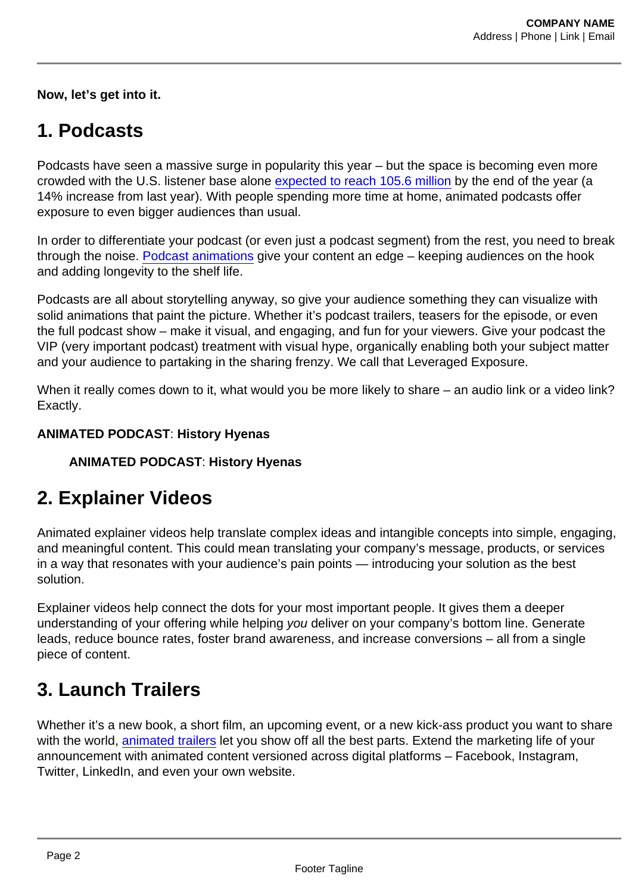Now, let's get into it.

# 1. Podcasts

Podcasts have seen a massive surge in popularity this year – but the space is becoming even more crowded with the U.S. listener base alone [expected to reach 105.6 million](https://www.emarketer.com/content/us-podcast-listeners-will-surpass-100-million-this-year) by the end of the year (a 14% increase from last year). With people spending more time at home, animated podcasts offer exposure to even bigger audiences than usual.

In order to differentiate your podcast (or even just a podcast segment) from the rest, you need to break through the noise. [Podcast animations](https://www.foodfightstudios.com/ffs1/podcast-animations/) give your content an edge – keeping audiences on the hook and adding longevity to the shelf life.

Podcasts are all about storytelling anyway, so give your audience something they can visualize with solid animations that paint the picture. Whether it's podcast trailers, teasers for the episode, or even the full podcast show – make it visual, and engaging, and fun for your viewers. Give your podcast the VIP (very important podcast) treatment with visual hype, organically enabling both your subject matter and your audience to partaking in the sharing frenzy. We call that Leveraged Exposure.

When it really comes down to it, what would you be more likely to share – an audio link or a video link? Exactly.

ANIMATED PODCAST : History Hyenas

ANIMATED PODCAST : History Hyenas

### 2. Explainer Videos

Animated explainer videos help translate complex ideas and intangible concepts into simple, engaging, and meaningful content. This could mean translating your company's message, products, or services in a way that resonates with your audience's pain points — introducing your solution as the best solution.

Explainer videos help connect the dots for your most important people. It gives them a deeper understanding of your offering while helping you deliver on your company's bottom line. Generate leads, reduce bounce rates, foster brand awareness, and increase conversions – all from a single piece of content.

# 3. Launch Trailers

Whether it's a new book, a short film, an upcoming event, or a new kick-ass product you want to share with the world, [animated trailers](https://www.foodfightstudios.com/ffs1/trailers/) let you show off all the best parts. Extend the marketing life of your announcement with animated content versioned across digital platforms – Facebook, Instagram, Twitter, LinkedIn, and even your own website.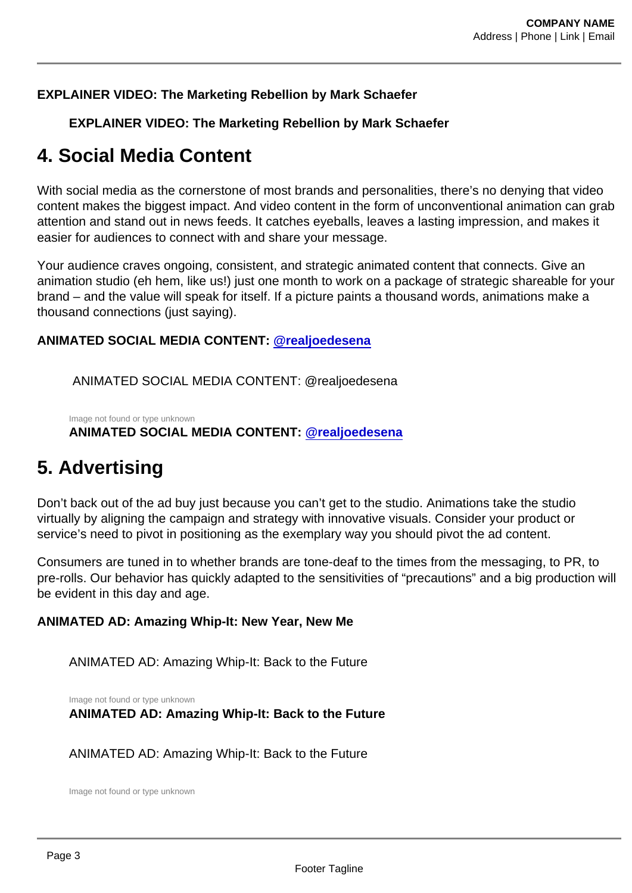EXPLAINER VIDEO: The Marketing Rebellion by Mark Schaefer

EXPLAINER VIDEO: The Marketing Rebellion by Mark Schaefer

### 4. Social Media Content

With social media as the cornerstone of most brands and personalities, there's no denying that video content makes the biggest impact. And video content in the form of unconventional animation can grab attention and stand out in news feeds. It catches eyeballs, leaves a lasting impression, and makes it easier for audiences to connect with and share your message.

Your audience craves ongoing, consistent, and strategic animated content that connects. Give an animation studio (eh hem, like us!) just one month to work on a package of strategic shareable for your brand – and the value will speak for itself. If a picture paints a thousand words, animations make a thousand connections (just saying).

ANIMATED SOCIAL MEDIA CONTENT: [@realjoedesena](https://www.instagram.com/realjoedesena/?hl=en)

ANIMATED SOCIAL MEDIA CONTENT: @realjoedesena

Image not found or type unknown ANIMATED SOCIAL MEDIA CONTENT: [@realjoedesena](https://www.instagram.com/realjoedesena/?hl=en)

#### 5. Advertising

Don't back out of the ad buy just because you can't get to the studio. Animations take the studio virtually by aligning the campaign and strategy with innovative visuals. Consider your product or service's need to pivot in positioning as the exemplary way you should pivot the ad content.

Consumers are tuned in to whether brands are tone-deaf to the times from the messaging, to PR, to pre-rolls. Our behavior has quickly adapted to the sensitivities of "precautions" and a big production will be evident in this day and age.

ANIMATED AD: Amazing Whip-It: New Year, New Me

ANIMATED AD: Amazing Whip-It: Back to the Future

Image not found or type unknown ANIMATED AD: Amazing Whip-It: Back to the Future

ANIMATED AD: Amazing Whip-It: Back to the Future

Image not found or type unknown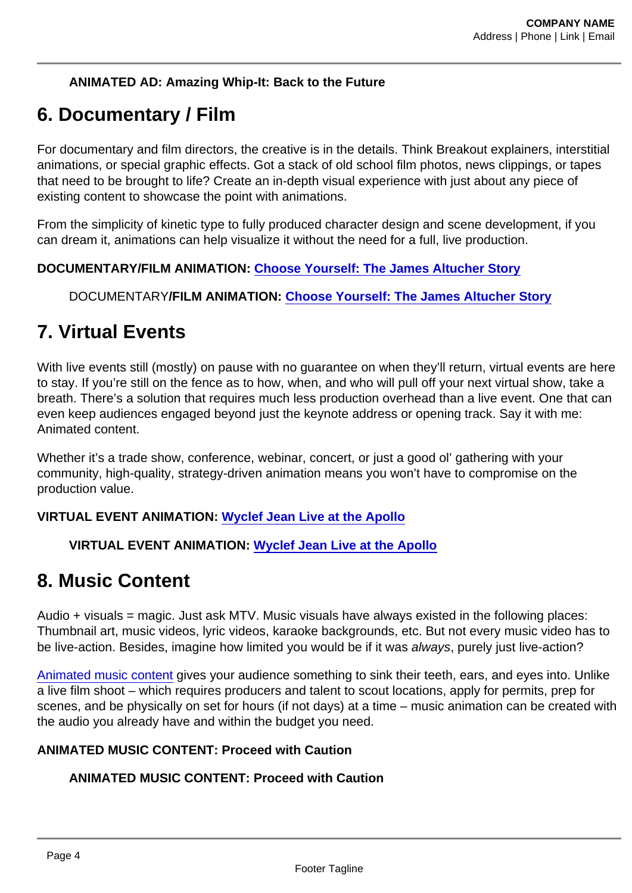ANIMATED AD: Amazing Whip-It: Back to the Future

## 6. Documentary / Film

For documentary and film directors, the creative is in the details. Think Breakout explainers, interstitial animations, or special graphic effects. Got a stack of old school film photos, news clippings, or tapes that need to be brought to life? Create an in-depth visual experience with just about any piece of existing content to showcase the point with animations.

From the simplicity of kinetic type to fully produced character design and scene development, if you can dream it, animations can help visualize it without the need for a full, live production.

DOCUMENTARY/FILM ANIMATION: [Choose Yourself: The James Altucher Story](https://www.amazon.com/Choose-Yourself-James-Altucher-Story/dp/B08JD3PR31/ref=sr_1_2?dchild=1&keywords=choose+yourself+james+altucher&qid=1600817127&s=instant-video&sr=1-2)

DOCUMENTARY/FILM ANIMATION: [Choose Yourself: The James Altucher Story](https://www.amazon.com/Choose-Yourself-James-Altucher-Story/dp/B08JD3PR31/ref=sr_1_2?dchild=1&keywords=choose+yourself+james+altucher&qid=1600817127&s=instant-video&sr=1-2)

#### 7. Virtual Events

With live events still (mostly) on pause with no quarantee on when they'll return, virtual events are here to stay. If you're still on the fence as to how, when, and who will pull off your next virtual show, take a breath. There's a solution that requires much less production overhead than a live event. One that can even keep audiences engaged beyond just the keynote address or opening track. Say it with me: Animated content.

Whether it's a trade show, conference, webinar, concert, or just a good ol' gathering with your community, high-quality, strategy-driven animation means you won't have to compromise on the production value.

VIRTUAL EVENT ANIMATION: [Wyclef Jean Live at the Apollo](https://www.apollotheater.org/event/wyclef-jean-live-at-the-apollo/)

VIRTUAL EVENT ANIMATION: [Wyclef Jean Live at the Apollo](https://www.apollotheater.org/event/wyclef-jean-live-at-the-apollo/)

### 8. Music Content

Audio + visuals = magic. Just ask MTV. Music visuals have always existed in the following places: Thumbnail art, music videos, lyric videos, karaoke backgrounds, etc. But not every music video has to be live-action. Besides, imagine how limited you would be if it was always, purely just live-action?

[Animated music content](https://www.foodfightstudios.com/ffs1/music-videos/) gives your audience something to sink their teeth, ears, and eyes into. Unlike a live film shoot – which requires producers and talent to scout locations, apply for permits, prep for scenes, and be physically on set for hours (if not days) at a time – music animation can be created with the audio you already have and within the budget you need.

ANIMATED MUSIC CONTENT: Proceed with Caution

ANIMATED MUSIC CONTENT: Proceed with Caution